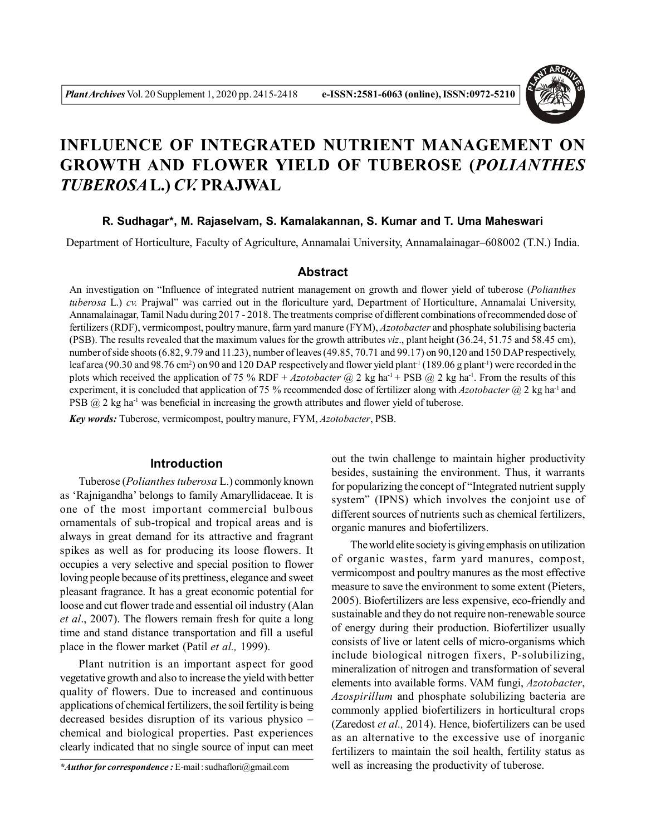

# **INFLUENCE OF INTEGRATED NUTRIENT MANAGEMENT ON GROWTH AND FLOWER YIELD OF TUBEROSE (***POLIANTHES TUBEROSA***L.)** *CV.* **PRAJWAL**

### **R. Sudhagar\*, M. Rajaselvam, S. Kamalakannan, S. Kumar and T. Uma Maheswari**

Department of Horticulture, Faculty of Agriculture, Annamalai University, Annamalainagar–608002 (T.N.) India.

## **Abstract**

An investigation on "Influence of integrated nutrient management on growth and flower yield of tuberose (*Polianthes tuberosa* L.) *cv.* Prajwal" was carried out in the floriculture yard, Department of Horticulture, Annamalai University, Annamalainagar, Tamil Nadu during 2017 - 2018. The treatments comprise of different combinations of recommended dose of fertilizers (RDF), vermicompost, poultry manure, farm yard manure (FYM), *Azotobacter* and phosphate solubilising bacteria (PSB). The results revealed that the maximum values for the growth attributes *viz*., plant height (36.24, 51.75 and 58.45 cm), number of side shoots (6.82, 9.79 and 11.23), number of leaves (49.85, 70.71 and 99.17) on 90,120 and 150 DAP respectively, leaf area (90.30 and 98.76 cm<sup>2</sup>) on 90 and 120 DAP respectively and flower yield plant<sup>-1</sup> (189.06 g plant<sup>-1</sup>) were recorded in the plots which received the application of 75 % RDF +  $Azotobacter$  ( $\bar{a}$ ) 2 kg ha<sup>-1</sup> + PSB ( $\bar{a}$ ) 2 kg ha<sup>-1</sup>. From the results of this experiment, it is concluded that application of 75 % recommended dose of fertilizer along with *Azotobacter* @ 2 kg ha-1 and PSB  $(a)$  2 kg ha<sup>-1</sup> was beneficial in increasing the growth attributes and flower yield of tuberose.

*Key words:* Tuberose, vermicompost, poultry manure, FYM, *Azotobacter*, PSB.

### **Introduction**

Tuberose (*Polianthes tuberosa* L.) commonly known as 'Rajnigandha' belongs to family Amaryllidaceae. It is one of the most important commercial bulbous ornamentals of sub-tropical and tropical areas and is always in great demand for its attractive and fragrant spikes as well as for producing its loose flowers. It occupies a very selective and special position to flower loving people because of its prettiness, elegance and sweet pleasant fragrance. It has a great economic potential for loose and cut flower trade and essential oil industry (Alan *et al*., 2007). The flowers remain fresh for quite a long time and stand distance transportation and fill a useful place in the flower market (Patil *et al.,* 1999).

Plant nutrition is an important aspect for good vegetative growth and also to increase the yield with better quality of flowers. Due to increased and continuous applications of chemical fertilizers, the soil fertility is being decreased besides disruption of its various physico – chemical and biological properties. Past experiences clearly indicated that no single source of input can meet

*\*Author for correspondence :* E-mail : sudhaflori@gmail.com

out the twin challenge to maintain higher productivity besides, sustaining the environment. Thus, it warrants for popularizing the concept of "Integrated nutrient supply system" (IPNS) which involves the conjoint use of different sources of nutrients such as chemical fertilizers, organic manures and biofertilizers.

The world elite society is giving emphasis on utilization of organic wastes, farm yard manures, compost, vermicompost and poultry manures as the most effective measure to save the environment to some extent (Pieters, 2005). Biofertilizers are less expensive, eco-friendly and sustainable and they do not require non-renewable source of energy during their production. Biofertilizer usually consists of live or latent cells of micro-organisms which include biological nitrogen fixers, P-solubilizing, mineralization of nitrogen and transformation of several elements into available forms. VAM fungi, *Azotobacter*, *Azospirillum* and phosphate solubilizing bacteria are commonly applied biofertilizers in horticultural crops (Zaredost *et al.,* 2014). Hence, biofertilizers can be used as an alternative to the excessive use of inorganic fertilizers to maintain the soil health, fertility status as well as increasing the productivity of tuberose.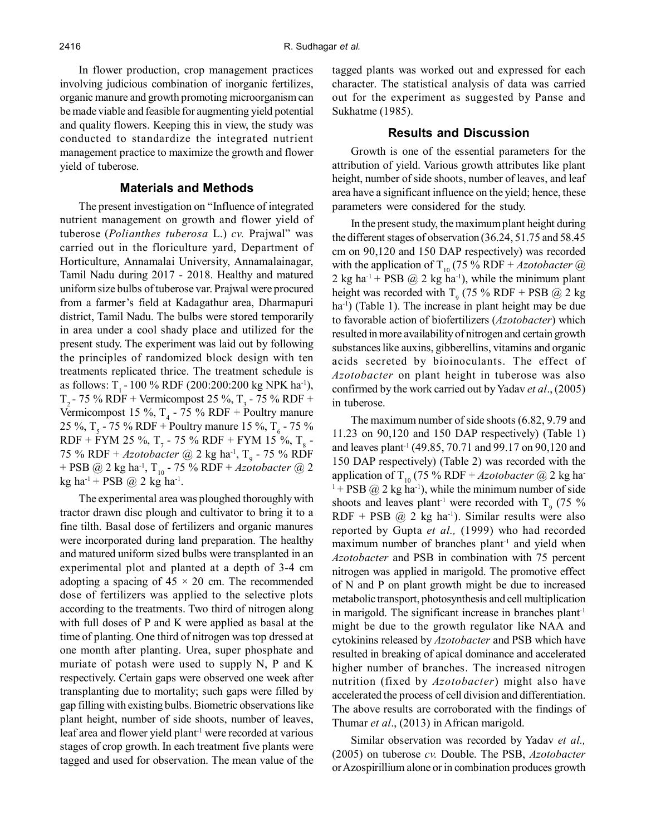In flower production, crop management practices involving judicious combination of inorganic fertilizes, organic manure and growth promoting microorganism can be made viable and feasible for augmenting yield potential and quality flowers. Keeping this in view, the study was conducted to standardize the integrated nutrient management practice to maximize the growth and flower yield of tuberose.

#### **Materials and Methods**

The present investigation on "Influence of integrated nutrient management on growth and flower yield of tuberose (*Polianthes tuberosa* L.) *cv.* Prajwal" was carried out in the floriculture yard, Department of Horticulture, Annamalai University, Annamalainagar, Tamil Nadu during 2017 - 2018. Healthy and matured uniform size bulbs of tuberose var. Prajwal were procured from a farmer's field at Kadagathur area, Dharmapuri district, Tamil Nadu. The bulbs were stored temporarily in area under a cool shady place and utilized for the present study. The experiment was laid out by following the principles of randomized block design with ten treatments replicated thrice. The treatment schedule is as follows:  $T_1 - 100 \%$  RDF (200:200:200 kg NPK ha<sup>-1</sup>),  $T_2$  - 75 % RDF + Vermicompost 25 %,  $T_3$  - 75 % RDF + Vermicompost 15 %,  $T_4$  - 75 % RDF + Poultry manure 25 %, T<sub>5</sub> - 75 % RDF + Poultry manure 15 %, T<sub>6</sub> - 75 % RDF + FYM 25 %, T<sub>7</sub> - 75 % RDF + FYM 15 %, T<sub>8</sub> -75 % RDF + *Azotobacter* @ 2 kg ha<sup>-1</sup>, T<sub>9</sub> - 75 % RDF + PSB @ 2 kg ha-1, T10 - 75 % RDF + *Azotobacter* @ 2  $kg$  ha<sup>-1</sup> + PSB  $@$  2 kg ha<sup>-1</sup>.

The experimental area was ploughed thoroughly with tractor drawn disc plough and cultivator to bring it to a fine tilth. Basal dose of fertilizers and organic manures were incorporated during land preparation. The healthy and matured uniform sized bulbs were transplanted in an experimental plot and planted at a depth of 3-4 cm adopting a spacing of  $45 \times 20$  cm. The recommended dose of fertilizers was applied to the selective plots according to the treatments. Two third of nitrogen along with full doses of P and K were applied as basal at the time of planting. One third of nitrogen was top dressed at one month after planting. Urea, super phosphate and muriate of potash were used to supply N, P and K respectively. Certain gaps were observed one week after transplanting due to mortality; such gaps were filled by gap filling with existing bulbs. Biometric observations like plant height, number of side shoots, number of leaves, leaf area and flower yield plant<sup>-1</sup> were recorded at various stages of crop growth. In each treatment five plants were tagged and used for observation. The mean value of the tagged plants was worked out and expressed for each character. The statistical analysis of data was carried out for the experiment as suggested by Panse and Sukhatme (1985).

# **Results and Discussion**

Growth is one of the essential parameters for the attribution of yield. Various growth attributes like plant height, number of side shoots, number of leaves, and leaf area have a significant influence on the yield; hence, these parameters were considered for the study.

In the present study, the maximum plant height during the different stages of observation (36.24, 51.75 and 58.45 cm on 90,120 and 150 DAP respectively) was recorded with the application of T<sub>10</sub> (75 % RDF + *Azotobacter*  $@$ 2 kg ha<sup>-1</sup> + PSB  $(\partial)$  2 kg ha<sup>-1</sup>), while the minimum plant height was recorded with  $T<sub>9</sub>$  (75 % RDF + PSB  $@$  2 kg ha<sup>-1</sup>) (Table 1). The increase in plant height may be due to favorable action of biofertilizers (*Azotobacter*) which resulted in more availability of nitrogen and certain growth substances like auxins, gibberellins, vitamins and organic acids secreted by bioinoculants. The effect of *Azotobacter* on plant height in tuberose was also confirmed by the work carried out by Yadav *et al*., (2005) in tuberose.

The maximum number of side shoots (6.82, 9.79 and 11.23 on 90,120 and 150 DAP respectively) (Table 1) and leaves plant-1 (49.85, 70.71 and 99.17 on 90,120 and 150 DAP respectively) (Table 2) was recorded with the application of T<sub>10</sub> (75 % RDF + *Azotobacter* @ 2 kg ha- $1+$  PSB  $@$  2 kg ha<sup>-1</sup>), while the minimum number of side shoots and leaves plant<sup>-1</sup> were recorded with  $T<sub>9</sub>$  (75 % RDF + PSB  $(\hat{\alpha})$  2 kg ha<sup>-1</sup>). Similar results were also reported by Gupta *et al.,* (1999) who had recorded maximum number of branches plant<sup>-1</sup> and yield when *Azotobacter* and PSB in combination with 75 percent nitrogen was applied in marigold. The promotive effect of N and P on plant growth might be due to increased metabolic transport, photosynthesis and cell multiplication in marigold. The significant increase in branches plant<sup>-1</sup> might be due to the growth regulator like NAA and cytokinins released by *Azotobacter* and PSB which have resulted in breaking of apical dominance and accelerated higher number of branches. The increased nitrogen nutrition (fixed by *Azotobacter*) might also have accelerated the process of cell division and differentiation. The above results are corroborated with the findings of Thumar *et al*., (2013) in African marigold.

Similar observation was recorded by Yadav *et al.,* (2005) on tuberose *cv.* Double. The PSB, *Azotobacter* or Azospirillium alone or in combination produces growth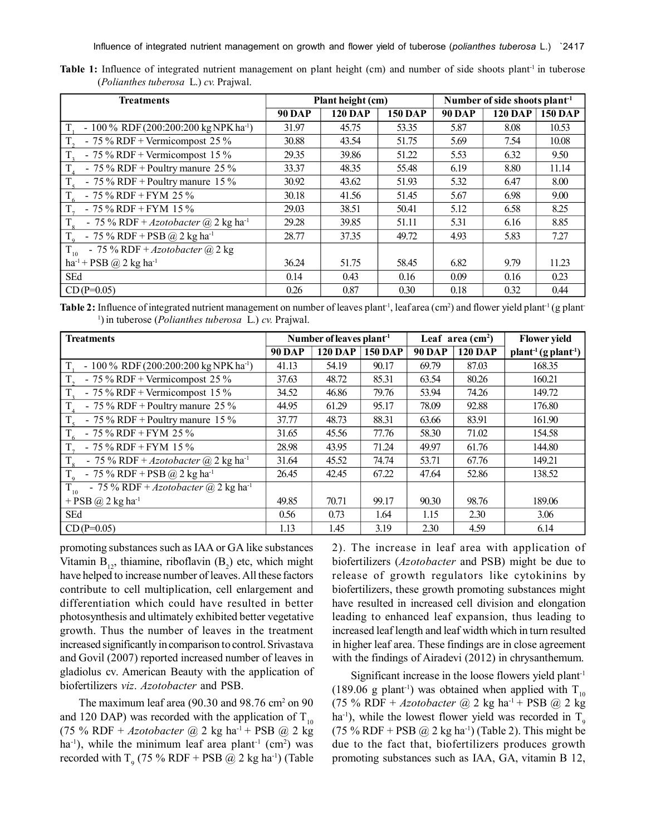| <b>Treatments</b>                                       |               | Plant height (cm) |                | Number of side shoots plant <sup>-1</sup> |                |                |  |
|---------------------------------------------------------|---------------|-------------------|----------------|-------------------------------------------|----------------|----------------|--|
|                                                         | <b>90 DAP</b> | <b>120 DAP</b>    | <b>150 DAP</b> | <b>90 DAP</b>                             | <b>120 DAP</b> | <b>150 DAP</b> |  |
| $-100\%$ RDF (200:200:200 kg NPK ha <sup>-1</sup> )     | 31.97         | 45.75             | 53.35          | 5.87                                      | 8.08           | 10.53          |  |
| - $75\%$ RDF + Vermicompost 25%                         | 30.88         | 43.54             | 51.75          | 5.69                                      | 7.54           | 10.08          |  |
| - 75 % RDF + Vermicompost 15 %                          | 29.35         | 39.86             | 51.22          | 5.53                                      | 6.32           | 9.50           |  |
| - 75 % RDF + Poultry manure 25 %                        | 33.37         | 48.35             | 55.48          | 6.19                                      | 8.80           | 11.14          |  |
| - 75 % RDF + Poultry manure $15\%$                      | 30.92         | 43.62             | 51.93          | 5.32                                      | 6.47           | 8.00           |  |
| - 75 % RDF + FYM 25 %                                   | 30.18         | 41.56             | 51.45          | 5.67                                      | 6.98           | 9.00           |  |
| $T_{\rm a}$<br>$-75\%$ RDF + FYM 15%                    | 29.03         | 38.51             | 50.41          | 5.12                                      | 6.58           | 8.25           |  |
| - 75 % RDF + Azotobacter @ 2 kg ha <sup>-1</sup>        | 29.28         | 39.85             | 51.11          | 5.31                                      | 6.16           | 8.85           |  |
| $T_{\rm o}$<br>- 75 % RDF + PSB @ 2 kg ha <sup>-1</sup> | 28.77         | 37.35             | 49.72          | 4.93                                      | 5.83           | 7.27           |  |
| - 75 % RDF + $Azotobacter$ @ 2 kg<br>$T_{10}$           |               |                   |                |                                           |                |                |  |
| ha <sup>-1</sup> + PSB @ 2 kg ha <sup>-1</sup>          | 36.24         | 51.75             | 58.45          | 6.82                                      | 9.79           | 11.23          |  |
| SEd                                                     | 0.14          | 0.43              | 0.16           | 0.09                                      | 0.16           | 0.23           |  |
| $CD(P=0.05)$                                            | 0.26          | 0.87              | 0.30           | 0.18                                      | 0.32           | 0.44           |  |

**Table 1:** Influence of integrated nutrient management on plant height (cm) and number of side shoots plant<sup>1</sup> in tuberose (*Polianthes tuberosa* L.) *cv.* Prajwal.

Table 2: Influence of integrated nutrient management on number of leaves plant<sup>1</sup>, leaf area (cm<sup>2</sup>) and flower yield plant<sup>1</sup> (g plant 1 )in tuberose (*Polianthes tuberosa* L.) *cv.* Prajwal.

| <b>Treatments</b>                                                   | Number of leaves plant <sup>-1</sup> |                |                |               | Leaf area $(cm2)$ | <b>Flower yield</b>        |
|---------------------------------------------------------------------|--------------------------------------|----------------|----------------|---------------|-------------------|----------------------------|
|                                                                     | <b>90 DAP</b>                        | <b>120 DAP</b> | <b>150 DAP</b> | <b>90 DAP</b> | <b>120 DAP</b>    | $plant^{-1}(g plant^{-1})$ |
| $T_{\rm s}$<br>$-100\%$ RDF (200:200:200 kg NPK ha <sup>-1</sup> )  | 41.13                                | 54.19          | 90.17          | 69.79         | 87.03             | 168.35                     |
| $T_{\rm g}$<br>- 75 % RDF + Vermicompost 25 %                       | 37.63                                | 48.72          | 85.31          | 63.54         | 80.26             | 160.21                     |
| $T_{\rm a}$<br>- 75 % RDF + Vermicompost 15 %                       | 34.52                                | 46.86          | 79.76          | 53.94         | 74.26             | 149.72                     |
| $T_{\scriptscriptstyle A}$<br>- 75 % RDF + Poultry manure $25$ %    | 44.95                                | 61.29          | 95.17          | 78.09         | 92.88             | 176.80                     |
| $T_{\rm s}$<br>- 75 % RDF + Poultry manure $15\%$                   | 37.77                                | 48.73          | 88.31          | 63.66         | 83.91             | 161.90                     |
| $T_{\epsilon}$<br>- 75 % RDF + FYM 25 %                             | 31.65                                | 45.56          | 77.76          | 58.30         | 71.02             | 154.58                     |
| $T_{\tau}$<br>$-75\%$ RDF + FYM 15%                                 | 28.98                                | 43.95          | 71.24          | 49.97         | 61.76             | 144.80                     |
| $T_{\rm g}$<br>- 75 % RDF + Azotobacter $(a)$ 2 kg ha <sup>-1</sup> | 31.64                                | 45.52          | 74.74          | 53.71         | 67.76             | 149.21                     |
| $T_{9}$<br>- 75 % RDF + PSB @ 2 kg ha <sup>-1</sup>                 | 26.45                                | 42.45          | 67.22          | 47.64         | 52.86             | 138.52                     |
| $T_{10}$<br>- 75 % RDF + Azotobacter @ 2 kg ha <sup>-1</sup>        |                                      |                |                |               |                   |                            |
| + PSB $\omega$ 2 kg ha <sup>-1</sup>                                | 49.85                                | 70.71          | 99.17          | 90.30         | 98.76             | 189.06                     |
| SEd                                                                 | 0.56                                 | 0.73           | 1.64           | 1.15          | 2.30              | 3.06                       |
| $CD(P=0.05)$                                                        | 1.13                                 | 1.45           | 3.19           | 2.30          | 4.59              | 6.14                       |

promoting substances such as IAA or GA like substances Vitamin  $B_{12}$ , thiamine, riboflavin  $(B_2)$  etc, which might have helped to increase number of leaves. All these factors contribute to cell multiplication, cell enlargement and differentiation which could have resulted in better photosynthesis and ultimately exhibited better vegetative growth. Thus the number of leaves in the treatment increased significantly in comparison to control. Srivastava and Govil (2007) reported increased number of leaves in gladiolus cv. American Beauty with the application of biofertilizers *viz*. *Azotobacter* and PSB.

The maximum leaf area  $(90.30 \text{ and } 98.76 \text{ cm}^2 \text{ on } 90$ and 120 DAP) was recorded with the application of  $T_{10}$ (75 % RDF + *Azotobacter* @ 2 kg ha-1 + PSB @ 2 kg ha<sup>-1</sup>), while the minimum leaf area plant<sup>-1</sup> (cm<sup>2</sup>) was recorded with  $T<sub>9</sub>$  (75 % RDF + PSB  $@$  2 kg ha<sup>-1</sup>) (Table 2). The increase in leaf area with application of biofertilizers (*Azotobacter* and PSB) might be due to release of growth regulators like cytokinins by biofertilizers, these growth promoting substances might have resulted in increased cell division and elongation leading to enhanced leaf expansion, thus leading to increased leaf length and leaf width which in turn resulted in higher leaf area. These findings are in close agreement with the findings of Airadevi (2012) in chrysanthemum.

Significant increase in the loose flowers yield plant<sup>-1</sup> (189.06 g plant<sup>-1</sup>) was obtained when applied with  $T_{10}$ (75 % RDF + *Azotobacter* @ 2 kg ha-1 + PSB @ 2 kg ha<sup>-1</sup>), while the lowest flower yield was recorded in  $T_9$ (75 % RDF + PSB  $@$  2 kg ha<sup>-1</sup>) (Table 2). This might be due to the fact that, biofertilizers produces growth promoting substances such as IAA, GA, vitamin B 12,